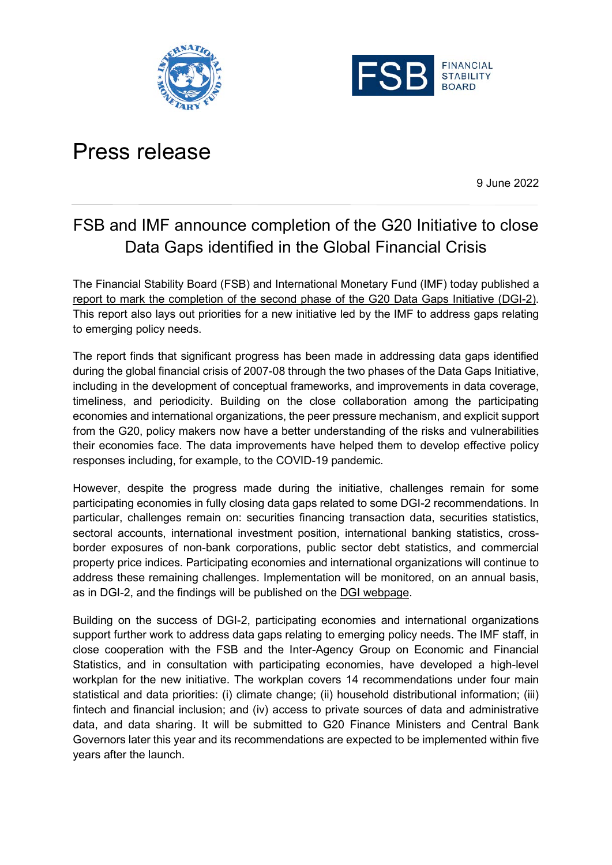



## Press release

9 June 2022

## FSB and IMF announce completion of the G20 Initiative to close Data Gaps identified in the Global Financial Crisis

The Financial Stability Board (FSB) and International Monetary Fund (IMF) today published a [report to mark the completion of the second phase of the G20 Data Gaps Initiative](https://www.fsb.org/2022/06/g20-data-gaps-initiative-dgi-2-progress-achieved-lessons-learned-and-the-way-forward/) (DGI[-2\).](https://www.fsb.org/2022/06/g20-data-gaps-initiative-dgi-2-progress-achieved-lessons-learned-and-the-way-forward/) This report also lays out priorities for a new initiative led by the IMF to address gaps relating to emerging policy needs.

The report finds that significant progress has been made in addressing data gaps identified during the global financial crisis of 2007-08 through the two phases of the Data Gaps Initiative, including in the development of conceptual frameworks, and improvements in data coverage, timeliness, and periodicity. Building on the close collaboration among the participating economies and international organizations, the peer pressure mechanism, and explicit support from the G20, policy makers now have a better understanding of the risks and vulnerabilities their economies face. The data improvements have helped them to develop effective policy responses including, for example, to the COVID-19 pandemic.

However, despite the progress made during the initiative, challenges remain for some participating economies in fully closing data gaps related to some DGI-2 recommendations. In particular, challenges remain on: securities financing transaction data, securities statistics, sectoral accounts, international investment position, international banking statistics, crossborder exposures of non-bank corporations, public sector debt statistics, and commercial property price indices. Participating economies and international organizations will continue to address these remaining challenges. Implementation will be monitored, on an annual basis, as in DGI-2, and the findings will be published on the [DGI webpage.](https://www.imf.org/en/News/Seminars/Conferences/g20-data-gaps-initiative)

Building on the success of DGI-2, participating economies and international organizations support further work to address data gaps relating to emerging policy needs. The IMF staff, in close cooperation with the FSB and the Inter-Agency Group on Economic and Financial Statistics, and in consultation with participating economies, have developed a high-level workplan for the new initiative. The workplan covers 14 recommendations under four main statistical and data priorities: (i) climate change; (ii) household distributional information; (iii) fintech and financial inclusion; and (iv) access to private sources of data and administrative data, and data sharing. It will be submitted to G20 Finance Ministers and Central Bank Governors later this year and its recommendations are expected to be implemented within five years after the launch.